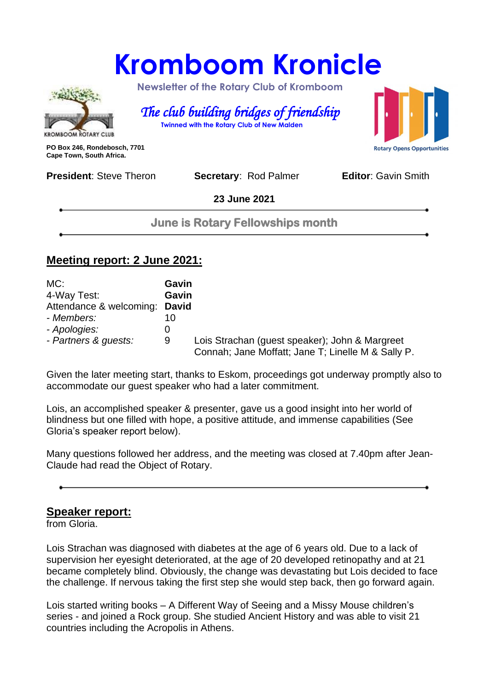## **Kromboom Kronicle**



 **Newsletter of the Rotary Club of Kromboom** 

 *The club building bridges of friendship*   **Twinned with the Rotary Club of New Malden**

**PO Box 246, Rondebosch, 7701 Cape Town, South Africa.**

**President:** Steve Theron **Secretary: Rod Palmer <b>Editor**: Gavin Smith

**23 June 2021**

**June is Rotary Fellowships month**

#### **Meeting report: 2 June 2021:**

| MC:                           | Gavin |                                                                                                      |
|-------------------------------|-------|------------------------------------------------------------------------------------------------------|
| 4-Way Test:                   | Gavin |                                                                                                      |
| Attendance & welcoming: David |       |                                                                                                      |
| - Members:                    | 10    |                                                                                                      |
| - Apologies:                  | O     |                                                                                                      |
| - Partners & guests:          | 9     | Lois Strachan (guest speaker); John & Margreet<br>Connah; Jane Moffatt; Jane T; Linelle M & Sally P. |

Given the later meeting start, thanks to Eskom, proceedings got underway promptly also to accommodate our guest speaker who had a later commitment.

Lois, an accomplished speaker & presenter, gave us a good insight into her world of blindness but one filled with hope, a positive attitude, and immense capabilities (See Gloria's speaker report below).

Many questions followed her address, and the meeting was closed at 7.40pm after Jean-Claude had read the Object of Rotary.

#### **Speaker report:**

from Gloria.

Lois Strachan was diagnosed with diabetes at the age of 6 years old. Due to a lack of supervision her eyesight deteriorated, at the age of 20 developed retinopathy and at 21 became completely blind. Obviously, the change was devastating but Lois decided to face the challenge. If nervous taking the first step she would step back, then go forward again.

Lois started writing books – A Different Way of Seeing and a Missy Mouse children's series - and joined a Rock group. She studied Ancient History and was able to visit 21 countries including the Acropolis in Athens.

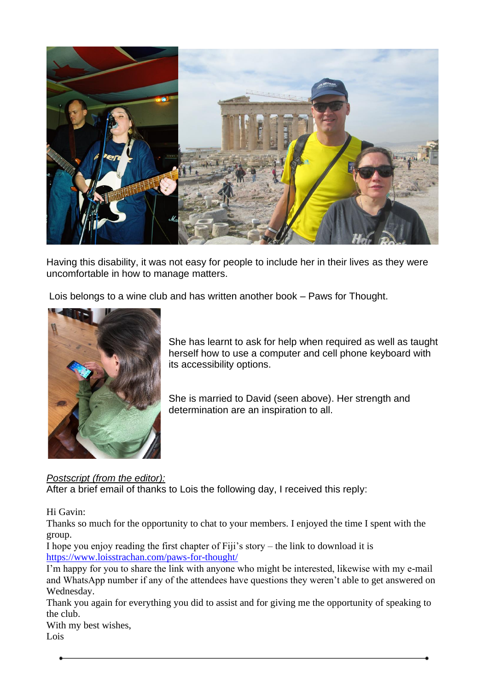

Having this disability, it was not easy for people to include her in their lives as they were uncomfortable in how to manage matters.

Lois belongs to a wine club and has written another book – Paws for Thought.



She has learnt to ask for help when required as well as taught herself how to use a computer and cell phone keyboard with its accessibility options.

She is married to David (seen above). Her strength and determination are an inspiration to all.

#### *Postscript (from the editor):*

After a brief email of thanks to Lois the following day, I received this reply:

#### Hi Gavin:

Thanks so much for the opportunity to chat to your members. I enjoyed the time I spent with the group.

I hope you enjoy reading the first chapter of Fiji's story – the link to download it is [https://www.loisstrachan.com/paws-for-thought/](https://emea01.safelinks.protection.outlook.com/?url=https%3A%2F%2Fwww.loisstrachan.com%2Fpaws-for-thought%2F&data=04%7C01%7C%7C5b46f54731044f54356308d92739467a%7C84df9e7fe9f640afb435aaaaaaaaaaaa%7C1%7C0%7C637583949216551076%7CUnknown%7CTWFpbGZsb3d8eyJWIjoiMC4wLjAwMDAiLCJQIjoiV2luMzIiLCJBTiI6Ik1haWwiLCJXVCI6Mn0%3D%7C1000&sdata=aVHQovzTvGo7hY0RrnoZ4Ka1Ej8qPc4yPdmtituEVKk%3D&reserved=0)

I'm happy for you to share the link with anyone who might be interested, likewise with my e-mail and WhatsApp number if any of the attendees have questions they weren't able to get answered on Wednesday.

Thank you again for everything you did to assist and for giving me the opportunity of speaking to the club.

With my best wishes, Lois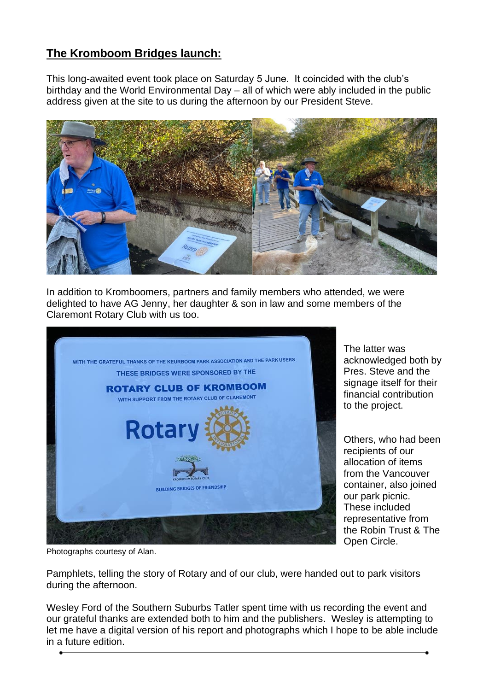#### **The Kromboom Bridges launch:**

This long-awaited event took place on Saturday 5 June. It coincided with the club's birthday and the World Environmental Day – all of which were ably included in the public address given at the site to us during the afternoon by our President Steve.



In addition to Kromboomers, partners and family members who attended, we were delighted to have AG Jenny, her daughter & son in law and some members of the Claremont Rotary Club with us too.



The latter was acknowledged both by Pres. Steve and the signage itself for their financial contribution to the project.

Others, who had been recipients of our allocation of items from the Vancouver container, also joined our park picnic. These included representative from the Robin Trust & The Open Circle.

Photographs courtesy of Alan.

Pamphlets, telling the story of Rotary and of our club, were handed out to park visitors during the afternoon.

Wesley Ford of the Southern Suburbs Tatler spent time with us recording the event and our grateful thanks are extended both to him and the publishers. Wesley is attempting to let me have a digital version of his report and photographs which I hope to be able include in a future edition.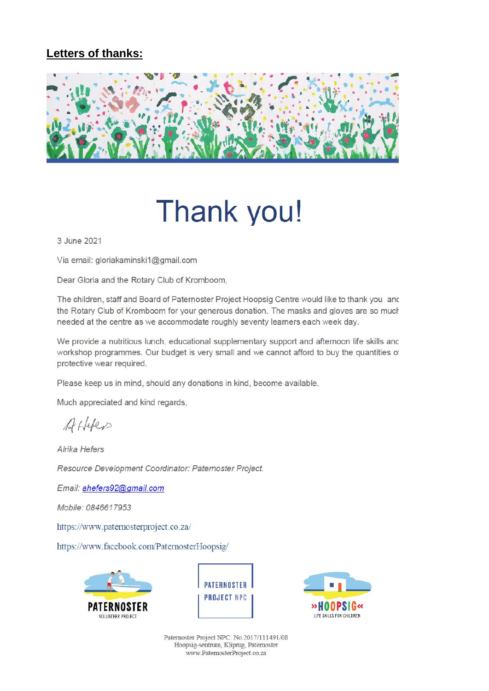#### Letters of thanks:



# Thank you!

3 June 2021

Via email: gloriakaminski1@gmail.com

Dear Gloria and the Rotary Club of Kromboom,

The children, staff and Board of Paternoster Project Hoopsig Centre would like to thank you and the Rotary Club of Kromboom for your generous donation. The masks and gloves are so much needed at the centre as we accommodate roughly seventy learners each week day.

We provide a nutritious lunch, educational supplementary support and afternoon life skills and workshop programmes. Our budget is very small and we cannot afford to buy the quantities of protective wear required.

Please keep us in mind, should any donations in kind, become available.

Much appreciated and kind regards,

Attelers

Alrika Hefers

Resource Development Coordinator: Paternoster Project.

Email: ahefers92@gmail.com

Mobile: 0846617953

https://www.paternosterproject.co.za/

https://www.facebook.com/PaternosterHoopsig/







Paternoster Project NPC. No.2017/111491/08 Hoopsig-sentrum, Kliprug, Paternoster www.PaternosterProject.co.za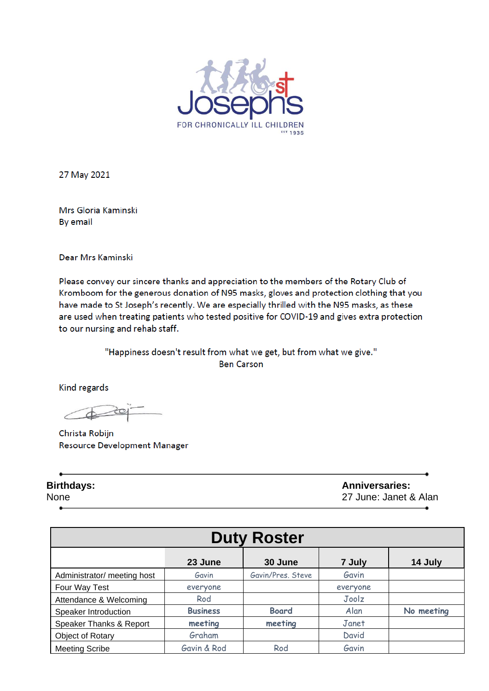

27 May 2021

Mrs Gloria Kaminski By email

Dear Mrs Kaminski

Please convey our sincere thanks and appreciation to the members of the Rotary Club of Kromboom for the generous donation of N95 masks, gloves and protection clothing that you have made to St Joseph's recently. We are especially thrilled with the N95 masks, as these are used when treating patients who tested positive for COVID-19 and gives extra protection to our nursing and rehab staff.

> "Happiness doesn't result from what we get, but from what we give." **Ben Carson**

Kind regards

Christa Robijn Resource Development Manager

**Birthdays: Anniversaries:**  None 27 June: Janet & Alan

| <b>Duty Roster</b>          |                 |                   |          |            |  |  |
|-----------------------------|-----------------|-------------------|----------|------------|--|--|
|                             | 23 June         | 30 June           | 7 July   | 14 July    |  |  |
| Administrator/ meeting host | Gavin           | Gavin/Pres, Steve | Gavin    |            |  |  |
| Four Way Test               | everyone        |                   | everyone |            |  |  |
| Attendance & Welcoming      | Rod             |                   | Joolz    |            |  |  |
| Speaker Introduction        | <b>Business</b> | <b>Board</b>      | Alan     | No meeting |  |  |
| Speaker Thanks & Report     | meeting         | meeting           | Janet    |            |  |  |
| Object of Rotary            | Graham          |                   | David    |            |  |  |
| <b>Meeting Scribe</b>       | Gavin & Rod     | Rod               | Gavin    |            |  |  |